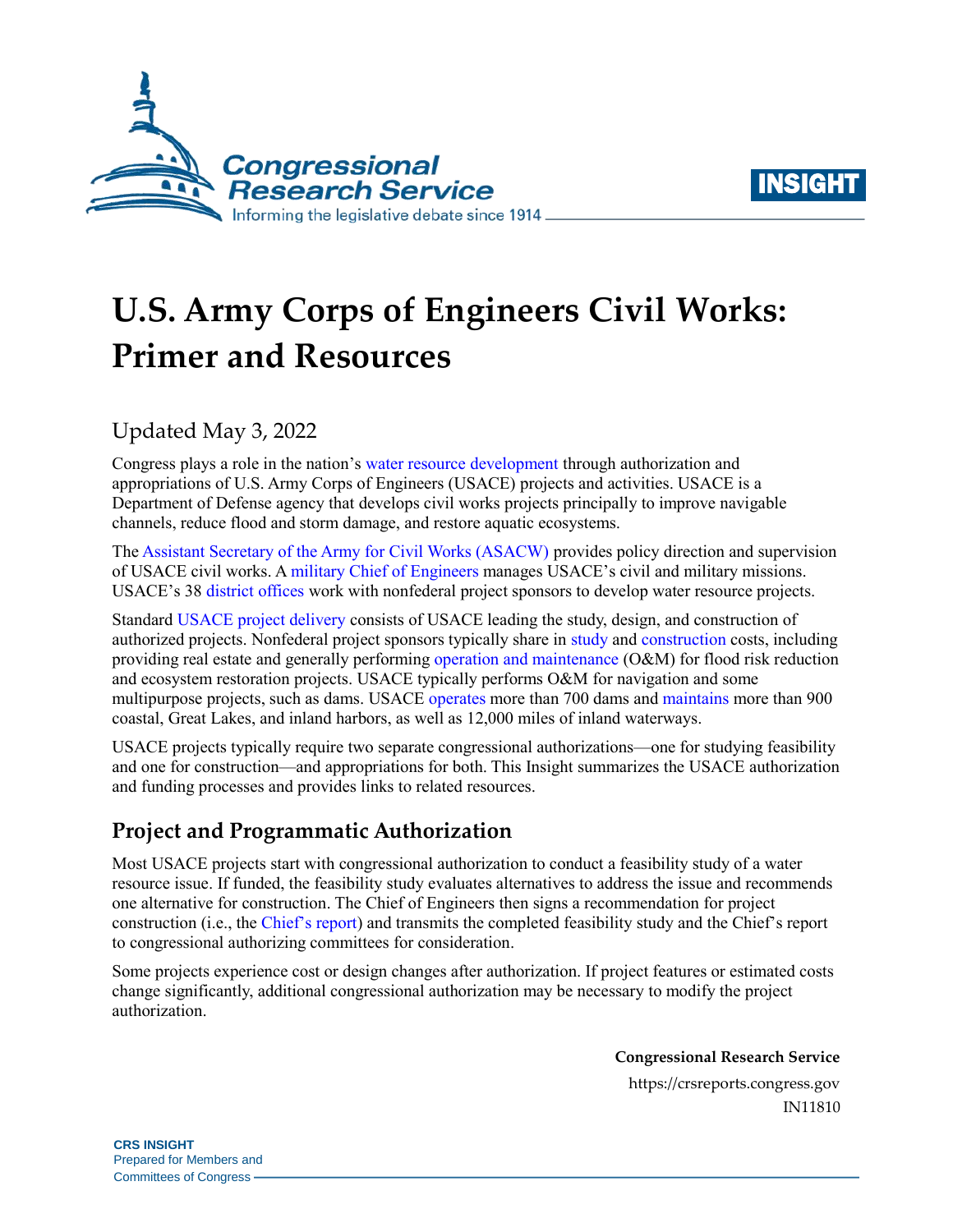



# **U.S. Army Corps of Engineers Civil Works: Primer and Resources**

Updated May 3, 2022

Congress plays a role in the nation's [water resource development](https://crsreports.congress.gov/product/pdf/R/R46712) through authorization and appropriations of U.S. Army Corps of Engineers (USACE) projects and activities. USACE is a Department of Defense agency that develops civil works projects principally to improve navigable channels, reduce flood and storm damage, and restore aquatic ecosystems.

The Assistant [Secretary of the Army for Civil Works \(ASACW\)](https://www.army.mil/asacw#org-about) provides policy direction and supervision of USACE civil works. A [military Chief of Engineers](https://www.usace.army.mil/About/Leadership/) manages USACE's civil and military missions. USACE's 38 [district offices](https://www.usace.army.mil/locations.aspx) work with nonfederal project sponsors to develop water resource projects.

Standard [USACE project delivery](https://crsreports.congress.gov/product/pdf/R/R45185) consists of USACE leading the study, design, and construction of authorized projects. Nonfederal project sponsors typically share in [study](https://crsreports.congress.gov/product/pdf/R/R45185#_Toc7012209) and [construction](https://crsreports.congress.gov/product/pdf/R/R45185#_Toc7012210) costs, including providing real estate and generally performing [operation and maintenance](https://crsreports.congress.gov/product/pdf/R/R45185#_Toc7012210) (O&M) for flood risk reduction and ecosystem restoration projects. USACE typically performs O&M for navigation and some multipurpose projects, such as dams. USACE [operates](https://www.usace.army.mil/Missions/Civil-Works/Dam-Safety-Program/) more than 700 dams and [maintains](https://www.usace.army.mil/Missions/Civil-Works/Navigation/) more than 900 coastal, Great Lakes, and inland harbors, as well as 12,000 miles of inland waterways.

USACE projects typically require two separate congressional authorizations—one for studying feasibility and one for construction—and appropriations for both. This Insight summarizes the USACE authorization and funding processes and provides links to related resources.

## **Project and Programmatic Authorization**

Most USACE projects start with congressional authorization to conduct a feasibility study of a water resource issue. If funded, the feasibility study evaluates alternatives to address the issue and recommends one alternative for construction. The Chief of Engineers then signs a recommendation for project construction (i.e., the [Chief's report\)](https://planning.erdc.dren.mil/toolbox/library.cfm?Option=Direct&Group=Main&Item=Chief%20Report&Sub=None&Sort=Default) and transmits the completed feasibility study and the Chief's report to congressional authorizing committees for consideration.

Some projects experience cost or design changes after authorization. If project features or estimated costs change significantly, additional congressional authorization may be necessary to modify the project authorization.

> **Congressional Research Service** https://crsreports.congress.gov

> > IN11810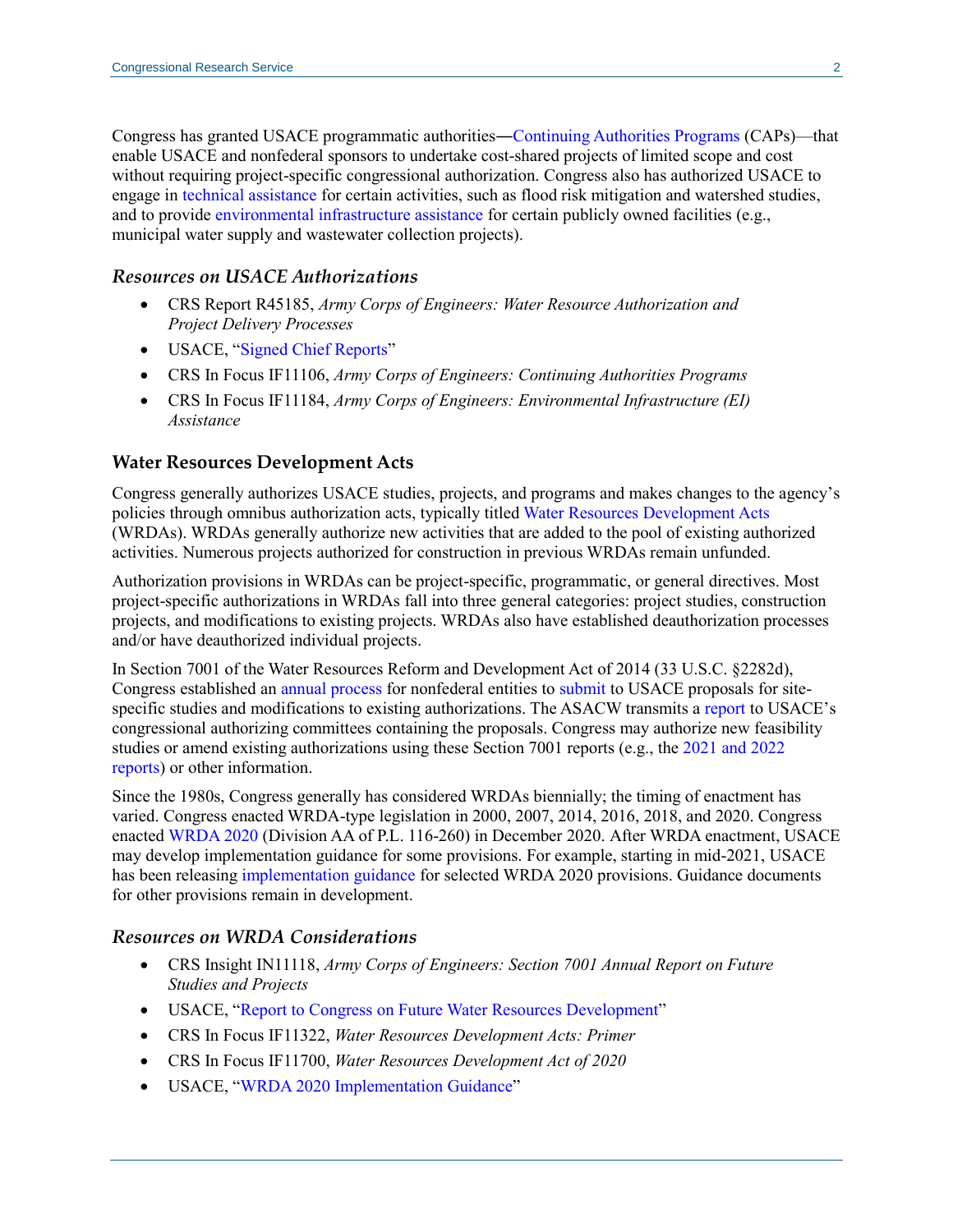Congress has granted USACE programmatic authorities[―Continuing Authorities Programs](https://crsreports.congress.gov/product/pdf/IF/IF11106) (CAPs)—that enable USACE and nonfederal sponsors to undertake cost-shared projects of limited scope and cost without requiring project-specific congressional authorization. Congress also has authorized USACE to engage in [technical assistance](https://planning.erdc.dren.mil/toolbox/library/FactSheets/PartneringFS_Nov2017.pdf) for certain activities, such as flood risk mitigation and watershed studies, and to provide [environmental infrastructure assistance](https://crsreports.congress.gov/product/pdf/IF/IF11184) for certain publicly owned facilities (e.g., municipal water supply and wastewater collection projects).

### *Resources on USACE Authorizations*

- CRS Report R45185, *[Army Corps of Engineers: Water Resource Authorization and](https://crsreports.congress.gov/product/pdf/R/R45185)  [Project Delivery Processes](https://crsreports.congress.gov/product/pdf/R/R45185)*
- USACE, ["Signed Chief Reports"](https://planning.erdc.dren.mil/toolbox/library.cfm?Option=Direct&Group=Main&Item=Chief%20Report&Sub=None&Sort=Default)
- CRS In Focus IF11106, *[Army Corps of Engineers: Continuing Authorities Programs](https://crsreports.congress.gov/product/pdf/IF/IF11106)*
- CRS In Focus IF11184, *Army Corps [of Engineers: Environmental Infrastructure \(EI\)](https://crsreports.congress.gov/product/pdf/IF/IF11184)  [Assistance](https://crsreports.congress.gov/product/pdf/IF/IF11184)*

#### **Water Resources Development Acts**

Congress generally authorizes USACE studies, projects, and programs and makes changes to the agency's policies through omnibus authorization acts, typically titled [Water Resources Development Acts](https://crsreports.congress.gov/product/pdf/IF/IF11322) (WRDAs). WRDAs generally authorize new activities that are added to the pool of existing authorized activities. Numerous projects authorized for construction in previous WRDAs remain unfunded.

Authorization provisions in WRDAs can be project-specific, programmatic, or general directives. Most project-specific authorizations in WRDAs fall into three general categories: project studies, construction projects, and modifications to existing projects. WRDAs also have established deauthorization processes and/or have deauthorized individual projects.

In Section 7001 of the Water Resources Reform and Development Act of 2014 (33 U.S.C. §2282d), Congress established an [annual process](https://crsreports.congress.gov/product/pdf/IN/IN11118) for nonfederal entities to [submit](https://www.usace.army.mil/Missions/Civil-Works/Project-Planning/WRRDA-7001-Proposals/) to USACE proposals for sitespecific studies and modifications to existing authorizations. The ASACW transmits a [report](https://www.usace.army.mil/Missions/Civil-Works/Project-Planning/Legislative-Links/wrrda2014/wrrda2014_proposals/) to USACE's congressional authorizing committees containing the proposals. Congress may authorize new feasibility studies or amend existing authorizations using these Section 7001 reports (e.g., the [2021 and 2022](https://www.usace.army.mil/Missions/Civil-Works/Project-Planning/Legislative-Links/wrrda2014/wrrda2014_proposals/)  [reports\)](https://www.usace.army.mil/Missions/Civil-Works/Project-Planning/Legislative-Links/wrrda2014/wrrda2014_proposals/) or other information.

Since the 1980s, Congress generally has considered WRDAs biennially; the timing of enactment has varied. Congress enacted WRDA-type legislation in 2000, 2007, 2014, 2016, 2018, and 2020. Congress enacted [WRDA 2020](https://crsreports.congress.gov/product/pdf/IF/IF11700) (Division AA of [P.L. 116-260\)](http://www.congress.gov/cgi-lis/bdquery/R?d116:FLD002:@1(116+260)) in December 2020. After WRDA enactment, USACE may develop implementation guidance for some provisions. For example, starting in mid-2021, USACE has been releasing [implementation guidance](https://www.usace.army.mil/Missions/Civil-Works/Project-Planning/Legislative-Links/wrda_2020/) for selected WRDA 2020 provisions. Guidance documents for other provisions remain in development.

#### *Resources on WRDA Considerations*

- CRS Insight IN11118, *[Army Corps of Engineers: Section 7001 Annual Report on Future](https://crsreports.congress.gov/product/pdf/IN/IN11118)  [Studies and Projects](https://crsreports.congress.gov/product/pdf/IN/IN11118)*
- USACE, ["Report to Congress on Future Water Resources Development"](https://www.usace.army.mil/Missions/Civil-Works/Project-Planning/WRRDA-7001-Proposals/)
- CRS In Focus IF11322, *[Water Resources Development Acts: Primer](https://crsreports.congress.gov/product/pdf/IF/IF11322)*
- CRS In Focus IF11700, *[Water Resources Development Act of 2020](https://crsreports.congress.gov/product/pdf/IF/IF11700)*
- USACE, ["WRDA 2020 Implementation Guidance"](https://www.usace.army.mil/Missions/Civil-Works/Project-Planning/Legislative-Links/wrda_2020/)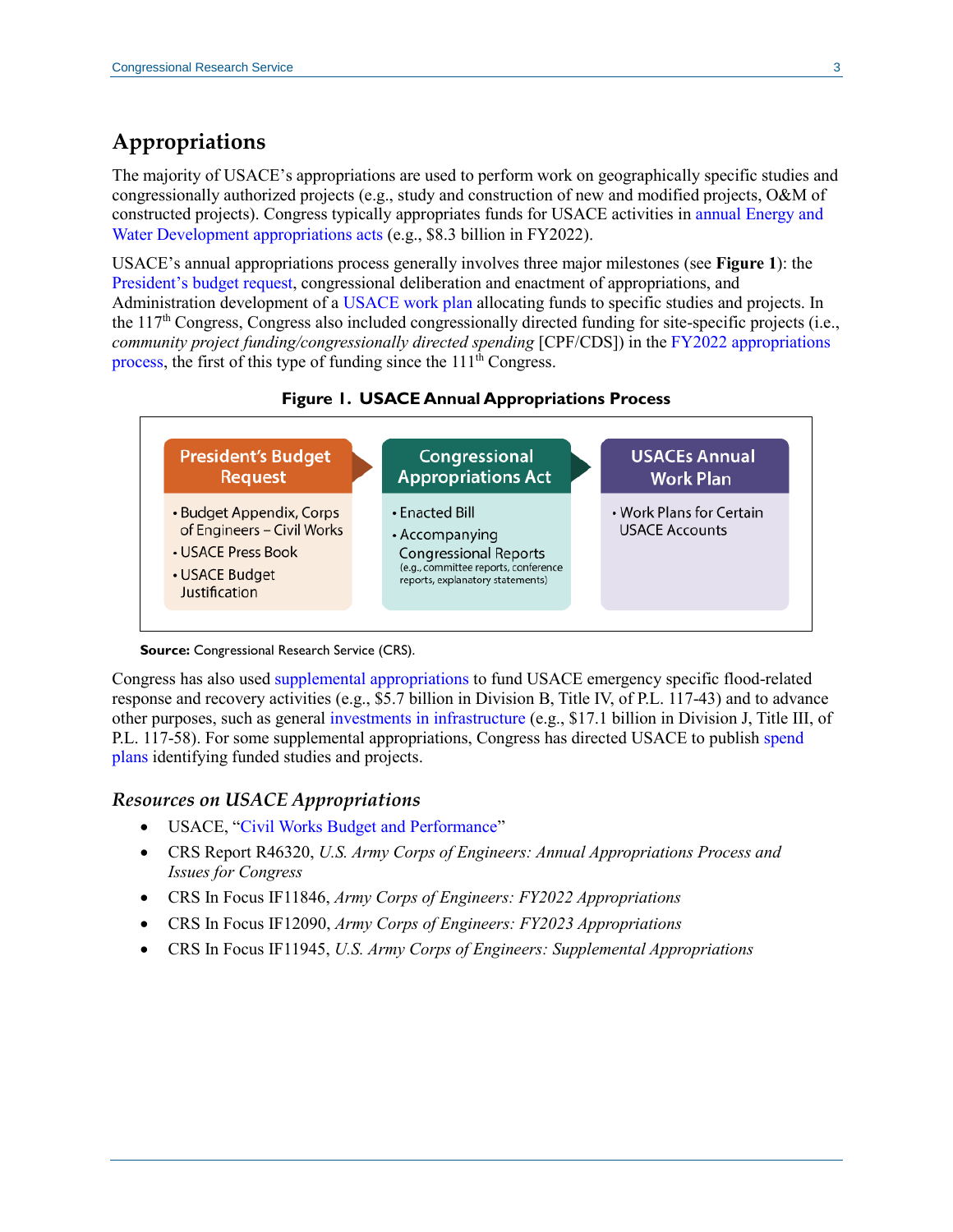## **Appropriations**

The majority of USACE's appropriations are used to perform work on geographically specific studies and congressionally authorized projects (e.g., study and construction of new and modified projects, O&M of constructed projects). Congress typically appropriates funds for USACE activities in [annual Energy and](https://crsreports.congress.gov/product/pdf/R/R46320)  [Water Development appropriations acts](https://crsreports.congress.gov/product/pdf/R/R46320) (e.g., \$8.3 billion in FY2022).

USACE's annual appropriations process generally involves three major milestones (see **[Figure 1](#page-2-0)**): the [President's budget request,](https://usace.contentdm.oclc.org/digital/collection/p16021coll6/search/searchterm/budget%20justification!2014-99999999/field/title!date/mode/all!exact/conn/and!and) congressional deliberation and enactment of appropriations, and Administration development of a [USACE work plan](https://usace.contentdm.oclc.org/digital/search/collection/p16021coll6!p16021coll2!p16021coll5!p16021coll8!p16021coll10!p16021coll1!p15141coll5!p16021coll7!p16021coll9!p266001coll1/searchterm/%22work%20plan%22!%22army%20civil%20works%20program%22/field/title!title/mode/exact!all/conn/and!and) allocating funds to specific studies and projects. In the  $117<sup>th</sup>$  Congress, Congress also included congressionally directed funding for site-specific projects (i.e., *community project funding/congressionally directed spending* [CPF/CDS]) in the [FY2022 appropriations](https://crsreports.congress.gov/product/pdf/IF/IF11846)  [process,](https://crsreports.congress.gov/product/pdf/IF/IF11846) the first of this type of funding since the 111<sup>th</sup> Congress.



<span id="page-2-0"></span>

#### **Source:** Congressional Research Service (CRS).

Congress has also used [supplemental appropriations](https://crsreports.congress.gov/product/pdf/IF/IF11945) to fund USACE emergency specific flood-related response and recovery activities (e.g., \$5.7 billion in Division B, Title IV, of [P.L. 117-43\)](http://www.congress.gov/cgi-lis/bdquery/R?d117:FLD002:@1(117+43)) and to advance other purposes, such as general [investments in infrastructure](https://crsreports.congress.gov/product/pdf/IN/IN11723) (e.g., \$17.1 billion in Division J, Title III, of [P.L. 117-58\)](http://www.congress.gov/cgi-lis/bdquery/R?d117:FLD002:@1(117+58)). For some supplemental appropriations, Congress has directed USACE to publish [spend](https://www.usace.army.mil/Missions/Civil-Works/Budget/)  [plans](https://www.usace.army.mil/Missions/Civil-Works/Budget/) identifying funded studies and projects.

#### *Resources on USACE Appropriations*

- USACE, ["Civil Works Budget and Performance"](https://www.usace.army.mil/Missions/Civil-Works/Budget/)
- CRS Report R46320, *[U.S. Army Corps of Engineers: Annual Appropriations Process and](https://crsreports.congress.gov/product/pdf/R/R46320)  [Issues for Congress](https://crsreports.congress.gov/product/pdf/R/R46320)*
- CRS In Focus IF11846, *[Army Corps of Engineers: FY2022 Appropriations](https://crsreports.congress.gov/product/pdf/IF/IF11846)*
- CRS In Focus IF12090, *[Army Corps of Engineers: FY2023 Appropriations](https://crsreports.congress.gov/product/pdf/IF/IF12090)*
- CRS In Focus IF11945, *[U.S. Army Corps of Engineers: Supplemental Appropriations](https://crsreports.congress.gov/product/pdf/IF/IF11945)*